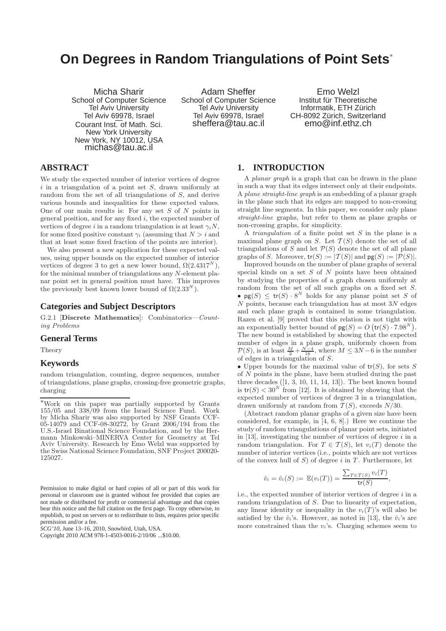# **On Degrees in Random Triangulations of Point Sets**<sup>∗</sup>

Micha Sharir School of Computer Science Tel Aviv University Tel Aviv 69978, Israel<br>Courant Inst. of Math. Sci. New York University New York, NY 10012, USA michas@tau.ac.il

Adam Sheffer School of Computer Science Tel Aviv University Tel Aviv 69978, Israel sheffera@tau.ac.il

Emo Welzl Institut für Theoretische Informatik, ETH Zürich CH-8092 Zürich, Switzerland emo@inf.ethz.ch

# **ABSTRACT**

We study the expected number of interior vertices of degree  $i$  in a triangulation of a point set  $S$ , drawn uniformly at random from the set of all triangulations of S, and derive various bounds and inequalities for these expected values. One of our main results is: For any set  $S$  of  $N$  points in general position, and for any fixed  $i$ , the expected number of vertices of degree i in a random triangulation is at least  $\gamma_i$ N, for some fixed positive constant  $\gamma_i$  (assuming that  $N > i$  and that at least some fixed fraction of the points are interior).

We also present a new application for these expected values, using upper bounds on the expected number of interior vertices of degree 3 to get a new lower bound,  $\Omega(2.4317^N)$ , for the minimal number of triangulations any N-element planar point set in general position must have. This improves the previously best known lower bound of  $\Omega(2.33^N)$ .

### **Categories and Subject Descriptors**

G.2.1 [Discrete Mathematics]: Combinatorics—Counting Problems

#### **General Terms**

Theory

# **Keywords**

random triangulation, counting, degree sequences, number of triangulations, plane graphs, crossing-free geometric graphs, charging

Permission to make digital or hard copies of all or part of this work for personal or classroom use is granted without fee provided that copies are not made or distributed for profit or commercial advantage and that copies bear this notice and the full citation on the first page. To copy otherwise, to republish, to post on servers or to redistribute to lists, requires prior specific permission and/or a fee.

*SCG'10,* June 13–16, 2010, Snowbird, Utah, USA.

#### **1. INTRODUCTION**

A planar graph is a graph that can be drawn in the plane in such a way that its edges intersect only at their endpoints. A plane straight-line graph is an embedding of a planar graph in the plane such that its edges are mapped to non-crossing straight line segments. In this paper, we consider only plane straight-line graphs, but refer to them as plane graphs or non-crossing graphs, for simplicity.

A *triangulation* of a finite point set  $S$  in the plane is a maximal plane graph on  $S$ . Let  $\mathcal{T}(S)$  denote the set of all triangulations of S and let  $P(S)$  denote the set of all plane graphs of S. Moreover,  $tr(S) := |T(S)|$  and  $pg(S) := |P(S)|$ .

Improved bounds on the number of plane graphs of several special kinds on a set  $S$  of  $N$  points have been obtained by studying the properties of a graph chosen uniformly at random from the set of all such graphs on a fixed set S. •  $pg(S) \leq tr(S) \cdot 8^N$  holds for any planar point set S of  $N$  points, because each triangulation has at most  $3N$  edges and each plane graph is contained in some triangulation. Razen et al. [9] proved that this relation is not tight with an exponentially better bound of  $pg(S) = O(tr(S) \cdot 7.98^N)$ . The new bound is established by showing that the expected number of edges in a plane graph, uniformly chosen from  $P(S)$ , is at least  $\frac{M}{2} + \frac{N-4}{16}$ , where  $M \leq 3N-6$  is the number of edges in a triangulation of S.

• Upper bounds for the maximal value of  $tr(S)$ , for sets S of N points in the plane, have been studied during the past three decades  $([1, 3, 10, 11, 14, 13])$ . The best known bound is  $tr(S) < 30^N$  from [12]. It is obtained by showing that the expected number of vertices of degree 3 in a triangulation, drawn uniformly at random from  $T(S)$ , exceeds  $N/30$ .

(Abstract random planar graphs of a given size have been considered, for example, in [4, 6, 8].) Here we continue the study of random triangulations of planar point sets, initiated in  $[13]$ , investigating the number of vertices of degree  $i$  in a random triangulation. For  $T \in \mathcal{T}(S)$ , let  $v_i(T)$  denote the number of interior vertices (i.e., points which are not vertices of the convex hull of  $S$ ) of degree i in T. Furthermore, let

$$
\hat{v}_i = \hat{v}_i(S) := \mathbb{E}(v_i(T)) = \frac{\sum_{T \in \mathcal{T}(S)} v_i(T)}{\mathsf{tr}(S)},
$$

i.e., the expected number of interior vertices of degree  $i$  in a random triangulation of S. Due to linearity of expectation, any linear identity or inequality in the  $v_i(T)$ 's will also be satisfied by the  $\hat{v}_i$ 's. However, as noted in [13], the  $\hat{v}_i$ 's are more constrained than the  $v_i$ 's. Charging schemes seem to

<sup>∗</sup>Work on this paper was partially supported by Grants 155/05 and 338/09 from the Israel Science Fund. Work by Micha Sharir was also supported by NSF Grants CCF-05-14079 and CCF-08-30272, by Grant 2006/194 from the U.S.-Israel Binational Science Foundation, and by the Hermann Minkowski–MINERVA Center for Geometry at Tel Aviv University. Research by Emo Welzl was supported by the Swiss National Science Foundation, SNF Project 200020- 125027.

Copyright 2010 ACM 978-1-4503-0016-2/10/06 ...\$10.00.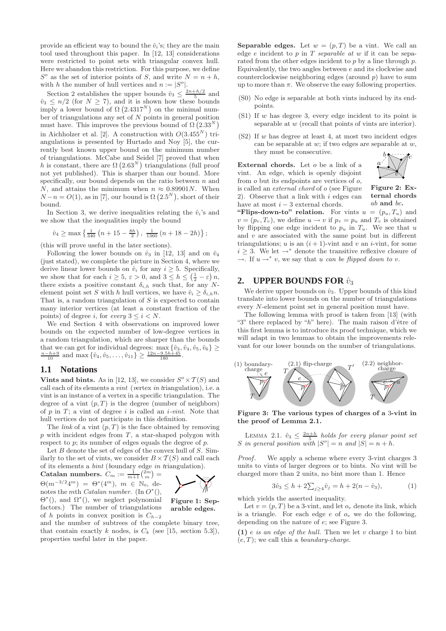provide an efficient way to bound the  $\hat{v}_i$ 's; they are the main tool used throughout this paper. In [12, 13] considerations were restricted to point sets with triangular convex hull. Here we abandon this restriction. For this purpose, we define  $S^o$  as the set of interior points of S, and write  $N = n + h$ , with h the number of hull vertices and  $n := |S^o|$ .

Section 2 establishes the upper bounds  $\hat{v}_3 \leq \frac{2n+h/2}{5}$  and  $\hat{v}_3 \leq n/2$  (for  $N \geq 7$ ), and it is shown how these bounds imply a lower bound of  $\Omega$  (2.4317<sup>N</sup>) on the minimal number of triangulations any set of  $N$  points in general position must have. This improves the previous bound of  $\Omega(2.33^N)$ in Aichholzer et al. [2]. A construction with  $O(3.455^N)$  triangulations is presented by Hurtado and Noy [5], the currently best known upper bound on the minimum number of triangulations. McCabe and Seidel [7] proved that when h is constant, there are  $\Omega(2.63^N)$  triangulations (full proof not yet published). This is sharper than our bound. More specifically, our bound depends on the ratio between  $n$  and N, and attains the minimum when  $n \approx 0.89901N$ . When  $N-n = O(1)$ , as in [7], our bound is  $\Omega(2.5^N)$ , short of their bound.

In Section 3, we derive inequalities relating the  $\hat{v}_i$ 's and we show that the inequalities imply the bound

$$
\hat{v}_4\geq\max\left\{\tfrac{1}{340}\left(n+15-\tfrac{8h}{3}\right),\;\tfrac{1}{1360}\left(n+18-2h\right)\right\};
$$

(this will prove useful in the later sections).

Following the lower bounds on  $\hat{v}_3$  in [12, 13] and on  $\hat{v}_4$ (just stated), we complete the picture in Section 4, where we derive linear lower bounds on  $\hat{v}_i$  for any  $i \geq 5$ . Specifically, we show that for each  $i \geq 5$ ,  $\varepsilon > 0$ , and  $3 \leq h \leq \left(\frac{1}{2} - \varepsilon\right)n$ , there exists a positive constant  $\delta_{i,h}$  such that, for any Nelement point set S with h hull vertices, we have  $\hat{v}_i \geq \delta_{i,h} n$ . That is, a random triangulation of  $S$  is expected to contain many interior vertices (at least a constant fraction of the points) of degree i, for every  $3 \leq i \leq N$ .

We end Section 4 with observations on improved lower bounds on the expected number of low-degree vertices in a random triangulation, which are sharper than the bounds that we can get for individual degrees:  $\max_{x_0} \{ \hat{v}_3, \hat{v}_4, \hat{v}_5, \hat{v}_6 \} \ge \frac{n-h+9}{10}$  and  $\max_{x_0} \{ \hat{v}_4, \hat{v}_5, \dots, \hat{v}_{11} \} \ge \frac{12n-9.5h+45}{180}$ .

# **1.1 Notations**

Vints and bints. As in [12, 13], we consider  $S^{\circ} \times T(S)$  and call each of its elements a vint (vertex in triangulation), i.e. a vint is an instance of a vertex in a specific triangulation. The degree of a vint  $(p, T)$  is the degree (number of neighbors) of  $p$  in  $T$ ; a vint of degree i is called an i-vint. Note that hull vertices do not participate in this definition.

The *link* of a vint  $(p, T)$  is the face obtained by removing  $p$  with incident edges from  $T$ , a star-shaped polygon with respect to  $p$ ; its number of edges equals the degree of  $p$ .

Let  $B$  denote the set of edges of the convex hull of  $S$ . Similarly to the set of vints, we consider  $B \times \mathcal{T}(S)$  and call each of its elements a bint (boundary edge in triangulation).

Catalan numbers.  $C_m := \frac{1}{m+1} {2m \choose m} =$  $\Theta(m^{-3/2}4^m) = \Theta^*(4^m), m \in \mathbb{N}_0, \text{ de-}$ notes the mth *Catalan number*. (In  $O^*($ ),  $\Theta^*$ (), and  $\Omega^*$ (), we neglect polynomial factors.) The number of triangulations of h points in convex position is  $C_{h-2}$ 



Figure 1: Separable edges.

and the number of subtrees of the complete binary tree, that contain exactly k nodes, is  $C_k$  (see [15, section 5.3]), properties useful later in the paper.

**Separable edges.** Let  $w = (p, T)$  be a vint. We call an edge  $e$  incident to  $p$  in  $T$  separable at  $w$  if it can be separated from the other edges incident to  $p$  by a line through  $p$ . Equivalently, the two angles between  $e$  and its clockwise and counterclockwise neighboring edges (around  $p$ ) have to sum up to more than  $\pi$ . We observe the easy following properties.

- (S0) No edge is separable at both vints induced by its endpoints.
- (S1) If w has degree 3, every edge incident to its point is separable at w (recall that points of vints are interior).
- $(S2)$  If w has degree at least 4, at most two incident edges can be separable at  $w$ ; if two edges are separable at  $w$ , they must be consecutive.

External chords. Let  $o$  be a link of a vint. An edge, which is openly disjoint from o but its endpoints are vertices of o, is called an external chord of o (see Figure 2). Observe that a link with  $i$  edges can have at most  $i - 3$  external chords.





"Flips-down-to" relation. For vints  $u = (p_u, T_u)$  and  $v = (p_v, T_v)$ , we define  $u \to v$  if  $p_v = p_u$  and  $T_v$  is obtained by flipping one edge incident to  $p_u$  in  $T_u$ . We see that u and  $v$  are associated with the same point but in different triangulations; u is an  $(i + 1)$ -vint and v an *i*-vint, for some  $i \geq 3$ . We let →<sup>\*</sup> denote the transitive reflexive closure of  $\rightarrow$ . If  $u \rightarrow^* v$ , we say that u can be flipped down to v.

# **2. UPPER BOUNDS FOR**  $\hat{v}_3$

We derive upper bounds on  $\hat{v}_3$ . Upper bounds of this kind translate into lower bounds on the number of triangulations every N-element point set in general position must have.

The following lemma with proof is taken from [13] (with "3" there replaced by " $h$ " here). The main raison d'être of this first lemma is to introduce its proof technique, which we will adapt in two lemmas to obtain the improvements relevant for our lower bounds on the number of triangulations.



Figure 3: The various types of charges of a 3-vint in the proof of Lemma 2.1.

LEMMA 2.1.  $\hat{v}_3 \leq \frac{2n+h}{5}$  holds for every planar point set S in general position with  $|S^o|=n$  and  $|S|=n+h$ .

Proof. We apply a scheme where every 3-vint charges 3 units to vints of larger degrees or to bints. No vint will be charged more than 2 units, no bint more than 1. Hence

$$
3\hat{v}_3 \le h + 2\sum_{j\ge 4} \hat{v}_j = h + 2(n - \hat{v}_3),\tag{1}
$$

which yields the asserted inequality.

Let  $v = (p, T)$  be a 3-vint, and let  $o_v$  denote its link, which is a triangle. For each edge  $e$  of  $o_v$  we do the following, depending on the nature of e; see Figure 3.

(1) e is an edge of the hull. Then we let v charge 1 to bint  $(e, T)$ ; we call this a *boundary-charge*.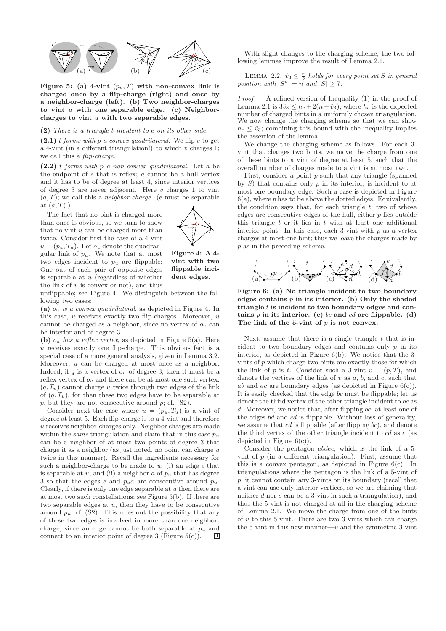

Figure 5: (a) 4-vint  $(p_u, T)$  with non-convex link is charged once by a flip-charge (right) and once by a neighbor-charge (left). (b) Two neighbor-charges to vint  $u$  with one separable edge. (c) Neighborcharges to vint  $u$  with two separable edges.

#### (2) There is a triangle t incident to e on its other side:

 $(2.1)$  t forms with p a convex quadrilateral. We flip e to get a 4-vint (in a different triangulation!) to which  $v$  charges 1; we call this a *flip-charge*.

 $(2.2)$  t forms with p a non-convex quadrilateral. Let a be the endpoint of e that is reflex; a cannot be a hull vertex and it has to be of degree at least 4, since interior vertices of degree 3 are never adjacent. Here  $v$  charges 1 to vint  $(a, T)$ ; we call this a *neighbor-charge*. (*e* must be separable at  $(a, T)$ .)

The fact that no bint is charged more than once is obvious, so we turn to show that no vint u can be charged more than twice. Consider first the case of a 4-vint  $u = (p_u, T_u)$ . Let  $o_u$  denote the quadrangular link of  $p_u$ . We note that at most two edges incident to  $p_u$  are flippable: One out of each pair of opposite edges is separable at  $u$  (regardless of whether the link of  $v$  is convex or not), and thus



Figure 4: A 4 vint with two flippable incident edges.

unflippable; see Figure 4. We distinguish between the following two cases:

(a)  $o_u$  is a convex quadrilateral, as depicted in Figure 4. In this case,  $u$  receives exactly two flip-charges. Moreover,  $u$ cannot be charged as a neighbor, since no vertex of  $o_u$  can be interior and of degree 3.

(b)  $o_u$  has a reflex vertex, as depicted in Figure 5(a). Here  $u$  receives exactly one flip-charge. This obvious fact is a special case of a more general analysis, given in Lemma 3.2. Moreover, u can be charged at most once as a neighbor. Indeed, if  $q$  is a vertex of  $o_u$  of degree 3, then it must be a reflex vertex of  $o_u$  and there can be at most one such vertex.  $(q, T_u)$  cannot charge u twice through two edges of the link of  $(q, T_u)$ , for then these two edges have to be separable at  $p$ , but they are not consecutive around  $p$ ; cf.  $(S2)$ .

Consider next the case where  $u = (p_u, T_u)$  is a vint of degree at least 5. Each flip-charge is to a 4-vint and therefore u receives neighbor-charges only. Neighbor charges are made within the *same* triangulation and claim that in this case  $p_u$ can be a neighbor of at most two points of degree 3 that charge it as a neighbor (as just noted, no point can charge  $u$ ) twice in this manner). Recall the ingredients necessary for such a neighbor-charge to be made to  $u$ : (i) an edge  $e$  that is separable at u, and (ii) a neighbor a of  $p_u$  that has degree 3 so that the edges e and  $p_u a$  are consecutive around  $p_u$ . Clearly, if there is only one edge separable at  $u$  then there are at most two such constellations; see Figure 5(b). If there are two separable edges at  $u$ , then they have to be consecutive around  $p_u$ , cf. (S2). This rules out the possibility that any of these two edges is involved in more than one neighborcharge, since an edge cannot be both separable at  $p_u$  and connect to an interior point of degree  $3$  (Figure  $5(c)$ ). 回

With slight changes to the charging scheme, the two following lemmas improve the result of Lemma 2.1.

LEMMA 2.2.  $\hat{v}_3 \leq \frac{n}{2}$  holds for every point set S in general position with  $|S^o| = n$  and  $|S| \ge 7$ .

Proof. A refined version of Inequality (1) in the proof of Lemma 2.1 is  $3\hat{v}_3 \leq h_c + 2(n-\hat{v}_3)$ , where  $h_c$  is the expected number of charged bints in a uniformly chosen triangulation. We now change the charging scheme so that we can show  $h_c \leq \hat{v}_3$ ; combining this bound with the inequality implies the assertion of the lemma.

We change the charging scheme as follows. For each 3 vint that charges two bints, we move the charge from one of these bints to a vint of degree at least 5, such that the overall number of charges made to a vint is at most two.

First, consider a point  $p$  such that any triangle (spanned by  $S$ ) that contains only  $p$  in its interior, is incident to at most one boundary edge. Such a case is depicted in Figure  $6(a)$ , where p has to be above the dotted edges. Equivalently, the condition says that, for each triangle  $t$ , two of whose edges are consecutive edges of the hull, either  $p$  lies outside this triangle  $t$  or it lies in  $t$  with at least one additional interior point. In this case, each 3-vint with  $p$  as a vertex charges at most one bint; thus we leave the charges made by p as in the preceding scheme.



Figure 6: (a) No triangle incident to two boundary edges contains  $p$  in its interior. (b) Only the shaded triangle  $t$  is incident to two boundary edges and contains  $p$  in its interior. (c) bc and cd are flippable. (d) The link of the 5-vint of  $p$  is not convex.

Next, assume that there is a single triangle  $t$  that is incident to two boundary edges and contains only  $p$  in its interior, as depicted in Figure 6(b). We notice that the 3 vints of  $p$  which charge two bints are exactly those for which the link of p is t. Consider such a 3-vint  $v = (p, T)$ , and denote the vertices of the link of  $v$  as  $a, b$ , and  $c$ , such that ab and ac are boundary edges (as depicted in Figure  $6(c)$ ). It is easily checked that the edge bc must be flippable; let us denote the third vertex of the other triangle incident to bc as d. Moreover, we notice that, after flipping bc, at least one of the edges bd and cd is flippable. Without loss of generality, we assume that  $cd$  is flippable (after flipping  $bc$ ), and denote the third vertex of the other triangle incident to  $cd$  as  $e$  (as depicted in Figure  $6(c)$ ).

Consider the pentagon abdec, which is the link of a 5 vint of  $p$  (in a different triangulation). First, assume that this is a convex pentagon, as depicted in Figure  $6(c)$ . In triangulations where the pentagon is the link of a 5-vint of p, it cannot contain any 3-vints on its boundary (recall that a vint can use only interior vertices, so we are claiming that neither d nor e can be a 3-vint in such a triangulation), and thus the 5-vint is not charged at all in the charging scheme of Lemma 2.1. We move the charge from one of the bints of  $v$  to this 5-vint. There are two 3-vints which can charge the 5-vint in this new manner— $v$  and the symmetric 3-vint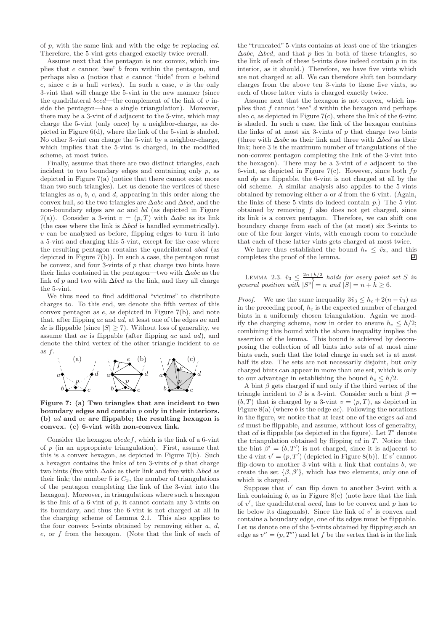of  $p$ , with the same link and with the edge be replacing  $cd$ . Therefore, the 5-vint gets charged exactly twice overall.

Assume next that the pentagon is not convex, which implies that e cannot "see" b from within the pentagon, and perhaps also a (notice that e cannot "hide" from a behind  $c$ , since  $c$  is a hull vertex). In such a case,  $v$  is the only 3-vint that will charge the 5-vint in the new manner (since the quadrilateral *bced*—the complement of the link of  $v$  inside the pentagon—has a single triangulation). Moreover, there may be a 3-vint of  $d$  adjacent to the 5-vint, which may charge the 5-vint (only once) by a neighbor-charge, as depicted in Figure 6(d), where the link of the 5-vint is shaded. No other 3-vint can charge the 5-vint by a neighbor-charge, which implies that the 5-vint is charged, in the modified scheme, at most twice.

Finally, assume that there are two distinct triangles, each incident to two boundary edges and containing only  $p$ , as depicted in Figure 7(a) (notice that there cannot exist more than two such triangles). Let us denote the vertices of these triangles as  $a, b, c$ , and  $d$ , appearing in this order along the convex hull, so the two triangles are ∆abc and ∆bcd, and the non-boundary edges are ac and bd (as depicted in Figure 7(a)). Consider a 3-vint  $v = (p, T)$  with  $\Delta abc$  as its link (the case where the link is  $\Delta bcd$  is handled symmetrically).  $v$  can be analyzed as before, flipping edges to turn it into a 5-vint and charging this 5-vint, except for the case where the resulting pentagon contains the quadrilateral abcd (as depicted in Figure 7(b)). In such a case, the pentagon must be convex, and four 3-vints of  $p$  that charge two bints have their links contained in the pentagon—two with  $\Delta abc$  as the link of p and two with  $\Delta bcd$  as the link, and they all charge the 5-vint.

We thus need to find additional "victims" to distribute charges to. To this end, we denote the fifth vertex of this convex pentagon as e, as depicted in Figure 7(b), and note that, after flipping ac and ad, at least one of the edges ae and de is flippable (since  $|S| \ge 7$ ). Without loss of generality, we assume that ae is flippable (after flipping ac and ad), and denote the third vertex of the other triangle incident to ae as  $f$ .



Figure 7: (a) Two triangles that are incident to two boundary edges and contain  $p$  only in their interiors. (b) ad and ae are flippable; the resulting hexagon is convex. (c) 6-vint with non-convex link.

Consider the hexagon abcdef, which is the link of a 6-vint of  $p$  (in an appropriate triangulation). First, assume that this is a convex hexagon, as depicted in Figure 7(b). Such a hexagon contains the links of ten 3-vints of  $p$  that charge two bints (five with  $\Delta abc$  as their link and five with  $\Delta bcd$  as their link; the number 5 is  $C_3$ , the number of triangulations of the pentagon completing the link of the 3-vint into the hexagon). Moreover, in triangulations where such a hexagon is the link of a 6-vint of  $p$ , it cannot contain any 3-vints on its boundary, and thus the 6-vint is not charged at all in the charging scheme of Lemma 2.1. This also applies to the four convex 5-vints obtained by removing either  $a, d$ , e, or f from the hexagon. (Note that the link of each of

the "truncated" 5-vints contains at least one of the triangles  $\Delta abc$ ,  $\Delta bcd$ , and that p lies in both of these triangles, so the link of each of these 5-vints does indeed contain  $p$  in its interior, as it should.) Therefore, we have five vints which are not charged at all. We can therefore shift ten boundary charges from the above ten 3-vints to those five vints, so each of those latter vints is charged exactly twice.

Assume next that the hexagon is not convex, which implies that  $f$  cannot "see"  $d$  within the hexagon and perhaps also  $c$ , as depicted in Figure  $7(c)$ , where the link of the 6-vint is shaded. In such a case, the link of the hexagon contains the links of at most six 3-vints of  $p$  that charge two bints (three with  $\Delta abc$  as their link and three with  $\Delta bcd$  as their link; here 3 is the maximum number of triangulations of the non-convex pentagon completing the link of the 3-vint into the hexagon). There may be a 3-vint of e adjacent to the 6-vint, as depicted in Figure 7(c). However, since both  $fp$ and  $dp$  are flippable, the 6-vint is not charged at all by the old scheme. A similar analysis also applies to the 5-vints obtained by removing either  $a$  or  $d$  from the 6-vint. (Again, the links of these 5-vints do indeed contain  $p$ .) The 5-vint obtained by removing  $f$  also does not get charged, since its link is a convex pentagon. Therefore, we can shift one boundary charge from each of the (at most) six 3-vints to one of the four larger vints, with enough room to conclude that each of these latter vints gets charged at most twice.

We have thus established the bound  $h_c \leq \hat{v}_3$ , and this completes the proof of the lemma. 凹

LEMMA 2.3.  $\hat{v}_3 \leq \frac{2n+h/2}{5}$  holds for every point set S in general position with  $|S^{\circ}| = n$  and  $|S| = n + h \geq 6$ .

*Proof.* We use the same inequality  $3\hat{v}_3 \leq h_c + 2(n - \hat{v}_3)$  as in the preceding proof,  $h_c$  is the expected number of charged bints in a uniformly chosen triangulation. Again we modify the charging scheme, now in order to ensure  $h_c \leq h/2$ ; combining this bound with the above inequality implies the assertion of the lemma. This bound is achieved by decomposing the collection of all bints into sets of at most nine bints each, such that the total charge in each set is at most half its size. The sets are not necessarily disjoint, but only charged bints can appear in more than one set, which is only to our advantage in establishing the bound  $h_c \leq h/2$ .

A bint  $\beta$  gets charged if and only if the third vertex of the triangle incident to  $\beta$  is a 3-vint. Consider such a bint  $\beta =$  $(b, T)$  that is charged by a 3-vint  $v = (p, T)$ , as depicted in Figure 8(a) (where b is the edge  $ac$ ). Following the notations in the figure, we notice that at least one of the edges ad and cd must be flippable, and assume, without loss of generality, that  $cd$  is flippable (as depicted in the figure). Let  $T'$  denote the triangulation obtained by flipping  $cd$  in  $T$ . Notice that the bint  $\beta' = (b, T')$  is not charged, since it is adjacent to the 4-vint  $v' = (p, T')$  (depicted in Figure 8(b)). If v' cannot flip-down to another 3-vint with a link that contains  $b$ , we create the set  $\{\beta, \beta'\}$ , which has two elements, only one of which is charged.

Suppose that  $v'$  can flip down to another 3-vint with a link containing  $b$ , as in Figure  $8(c)$  (note here that the link of  $v'$ , the quadrilateral *aced*, has to be convex and  $p$  has to lie below its diagonals). Since the link of  $v'$  is convex and contains a boundary edge, one of its edges must be flippable. Let us denote one of the 5-vints obtained by flipping such an edge as  $v'' = (p, T'')$  and let f be the vertex that is in the link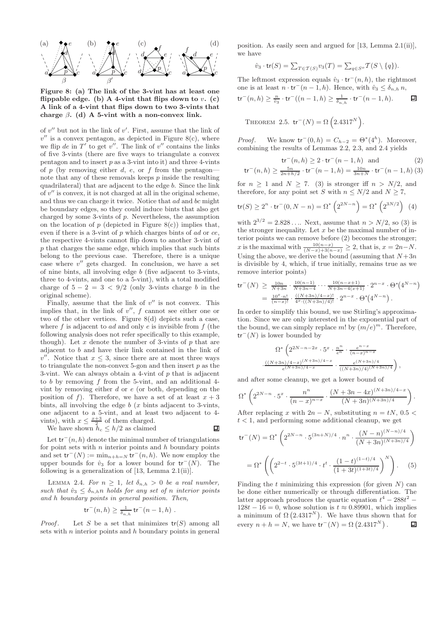

Figure 8: (a) The link of the 3-vint has at least one flippable edge. (b) A 4-vint that flips down to  $v$ . (c) A link of a 4-vint that flips down to two 3-vints that charge  $\beta$ . (d) A 5-vint with a non-convex link.

of  $v''$  but not in the link of  $v'$ . First, assume that the link of  $v''$  is a convex pentagon, as depicted in Figure 8(c), where we flip de in  $T'$  to get  $v''$ . The link of  $v''$  contains the links of five 3-vints (there are five ways to triangulate a convex pentagon and to insert  $p$  as a 3-vint into it) and three 4-vints of p (by removing either d, e, or f from the pentagon note that any of these removals keeps  $p$  inside the resulting quadrilateral) that are adjacent to the edge b. Since the link of  $v''$  is convex, it is not charged at all in the original scheme, and thus we can charge it twice. Notice that ad and bc might be boundary edges, so they could induce bints that also get charged by some 3-vints of p. Nevertheless, the assumption on the location of  $p$  (depicted in Figure 8(c)) implies that, even if there is a 3-vint of  $p$  which charges bints of  $ad$  or  $ce$ , the respective 4-vints cannot flip down to another 3-vint of p that charges the same edge, which implies that such bints belong to the previous case. Therefore, there is a unique case where  $v''$  gets charged. In conclusion, we have a set of nine bints, all involving edge b (five adjacent to 3-vints, three to 4-vints, and one to a 5-vint), with a total modified charge of  $5 - 2 = 3 < 9/2$  (only 3-vints charge b in the original scheme).

Finally, assume that the link of  $v''$  is not convex. This implies that, in the link of  $v''$ ,  $f$  cannot see either one or two of the other vertices. Figure 8(d) depicts such a case, where f is adjacent to ad and only  $e$  is invisible from  $f$  (the following analysis does not refer specifically to this example, though). Let  $x$  denote the number of 3-vints of  $p$  that are adjacent to b and have their link contained in the link of  $v''$ . Notice that  $x \leq 3$ , since there are at most three ways to triangulate the non-convex 5-gon and then insert  $p$  as the 3-vint. We can always obtain a 4-vint of  $p$  that is adjacent to  $b$  by removing  $f$  from the 5-vint, and an additional 4vint by removing either  $d$  or  $e$  (or both, depending on the position of f). Therefore, we have a set of at least  $x + 3$ bints, all involving the edge  $b(x)$  bints adjacent to 3-vints, one adjacent to a 5-vint, and at least two adjacent to 4 vints), with  $x \leq \frac{x+3}{2}$  of them charged.

We have shown 
$$
h_c \leq h/2
$$
 as claimed

回

Let  $tr^-(n, h)$  denote the minimal number of triangulations for point sets with  $n$  interior points and  $h$  boundary points and set  $\mathsf{tr}^-(N) := \min_{n+h=N} \mathsf{tr}^-(n,h)$ . We now employ the upper bounds for  $\hat{v}_3$  for a lower bound for  $tr^-(N)$ . The following is a generalization of  $[13, \text{Lemma } 2.1(i)]$ .

LEMMA 2.4. For  $n \geq 1$ , let  $\delta_{n,h} > 0$  be a real number, such that  $\hat{v}_3 \leq \delta_{n,h} n$  holds for any set of n interior points and h boundary points in general position. Then,

$$
tr^-(n, h) \geq \frac{1}{\delta_{n,h}} tr^-(n-1, h)
$$
.

*Proof.* Let S be a set that minimizes  $tr(S)$  among all sets with  $n$  interior points and  $h$  boundary points in general position. As easily seen and argued for [13, Lemma 2.1(ii)], we have

$$
\hat{v}_3 \cdot \operatorname{tr}(S) = \sum_{T \in \mathcal{T}(S)} v_3(T) = \sum_{q \in S^o} \mathcal{T}(S \setminus \{q\}).
$$

The leftmost expression equals  $\hat{v}_3 \cdot \text{tr}^-(n, h)$ , the rightmost one is at least  $n \cdot tr^-(n-1,h)$ . Hence, with  $\hat{v}_3 \leq \delta_{n,h} n$ ,

$$
\mathsf{tr}^-(n,h) \ge \frac{n}{\hat{v}_3} \cdot \mathsf{tr}^-\big((n-1,h) \ge \frac{1}{\delta_{n,h}} \cdot \mathsf{tr}^-(n-1,h). \qquad \Box
$$

THEOREM 2.5. 
$$
\text{tr}^{-}(N) = \Omega \left(2.4317^{N}\right).
$$

*Proof.* We know  $\mathsf{tr}^-(0,h) = C_{h-2} = \Theta^*(4^h)$ . Moreover, combining the results of Lemmas 2.2, 2.3, and 2.4 yields

$$
\operatorname{tr}^-(n,h) \ge 2 \cdot \operatorname{tr}^-(n-1,h) \quad \text{and} \tag{2}
$$

$$
\operatorname{tr}^{-}(n,h) \ge \frac{5n}{2n+h/2} \cdot \operatorname{tr}^{-}(n-1,h) = \frac{10n}{3n+h} \cdot \operatorname{tr}^{-}(n-1,h)
$$
 (3)

for  $n \geq 1$  and  $N \geq 7$ . (3) is stronger iff  $n > N/2$ , and therefore, for any point set S with  $n \leq N/2$  and  $N \geq 7$ ,

$$
\text{tr}(S) \ge 2^n \cdot \text{tr}^-(0, N - n) = \Omega^* \left( 2^{2N - n} \right) = \Omega^* \left( 2^{3N/2} \right) \tag{4}
$$

with  $2^{3/2} = 2.828...$  Next, assume that  $n > N/2$ , so (3) is the stronger inequality. Let  $x$  be the maximal number of interior points we can remove before (2) becomes the stronger; x is the maximal with  $\frac{10(n-x)}{(N-x)+3(n-x)} \geq 2$ , that is,  $x = 2n-N$ . Using the above, we derive the bound (assuming that  $N+3n$ is divisible by 4, which, if true initially, remains true as we remove interior points)

$$
\begin{split} \mathsf{tr}^-(N) &\geq \frac{10n}{N+3n} \cdot \frac{10(n-1)}{N+3n-4} \cdots \frac{10(n-x+1)}{N+3n-4(x+1)} \cdot 2^{n-x} \cdot \Theta^*\left(4^{N-n}\right) \\ &= \frac{10^x \cdot n!}{(n-x)!} \cdot \frac{((N+3n)/4-x)!}{4^x \cdot ((N+3n)/4)!} \cdot 2^{n-x} \cdot \Theta^*\left(4^{N-n}\right). \end{split}
$$

In order to simplify this bound, we use Stirling's approximation. Since we are only interested in the exponential part of the bound, we can simply replace m! by  $(m/e)^m$ . Therefore,  $tr^{-}(N)$  is lower bounded by

$$
\Omega^*\left(2^{2N-n-2x}\cdot 5^x\cdot \frac{n^n}{e^n}\cdot \frac{e^{n-x}}{(n-x)^{n-x}}\right.\\\left. \cdot \frac{((N+3n)/4-x)^{(N+3n)/4-x}}{e^{(N+3n)/4-x}}\cdot \frac{e^{(N+3n)/4}}{((N+3n)/4)^{(N+3n)/4}}\right),
$$

and after some cleanup, we get a lower bound of

$$
\Omega^* \left( 2^{2N-n} \cdot 5^x \cdot \frac{n^n}{(n-x)^{n-x}} \cdot \frac{(N+3n-4x)^{(N+3n)/4-x}}{(N+3n)^{(N+3n)/4}} \right).
$$

After replacing x with  $2n - N$ , substituting  $n = tN$ , 0.5 <  $t < 1$ , and performing some additional cleanup, we get

$$
\operatorname{tr}^{-}(N) = \Omega^{*} \left( 2^{2N-n} \cdot 5^{(3n+N)/4} \cdot n^{n} \cdot \frac{(N-n)^{(N-n)/4}}{(N+3n)^{(N+3n)/4}} \right)
$$

$$
= \Omega^{*} \left( \left( 2^{2-t} \cdot 5^{(3t+1)/4} \cdot t^{t} \cdot \frac{(1-t)^{(1-t)/4}}{(1+3t)^{(1+3t)/4}} \right)^{N} \right). \quad (5)
$$

Finding the  $t$  minimizing this expression (for given  $N$ ) can be done either numerically or through differentiation. The latter approach produces the quartic equation  $t^4 - 288t^2 128t - 16 = 0$ , whose solution is  $t \approx 0.89901$ , which implies a minimum of  $\Omega$  (2.4317<sup>N</sup>). We have thus shown that for every  $n + h = N$ , we have  $\mathsf{tr}^-(N) = \Omega \left( 2.4317^N \right)$ . 回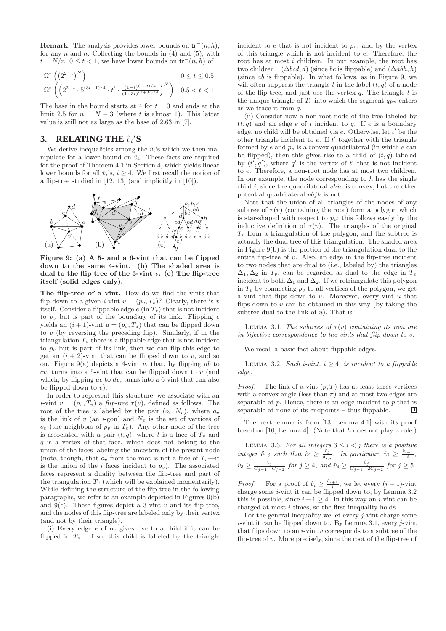**Remark.** The analysis provides lower bounds on  $\mathsf{tr}^-(n, h)$ , for any  $n$  and  $h$ . Collecting the bounds in (4) and (5), with  $t = N/n$ ,  $0 \le t < 1$ , we have lower bounds on  $tr^-(n, h)$  of

$$
\begin{array}{l} \Omega^*\left(\left(2^{2-t}\right)^N\right) \qquad \qquad 0\leq t\leq 0.5 \\ \Omega^*\left(\left(2^{2-t}\cdot 5^{(3t+1)/4}\cdot t^t\cdot \frac{(1-t)^{(1-t)/4}}{(1+3t)^{(1+3t)/4}}\right)^N\right) \quad 0.5
$$

The base in the bound starts at 4 for  $t = 0$  and ends at the limit 2.5 for  $n = N - 3$  (where t is almost 1). This latter value is still not as large as the base of 2.63 in [7].

# **3. RELATING THE**  $\hat{v}_i$ **'S**

We derive inequalities among the  $\hat{v}_i$ 's which we then manipulate for a lower bound on  $\hat{v}_4$ . These facts are required for the proof of Theorem 4.1 in Section 4, which yields linear lower bounds for all  $\hat{v}_i$ 's,  $i \geq 4$ . We first recall the notion of a flip-tree studied in [12, 13] (and implicitly in [10]).



Figure 9: (a) A 5- and a 6-vint that can be flipped down to the same 4-vint. (b) The shaded area is dual to the flip tree of the 3-vint  $v$ . (c) The flip-tree itself (solid edges only).

The flip-tree of a vint. How do we find the vints that flip down to a given *i*-vint  $v = (p_v, T_v)$ ? Clearly, there is v itself. Consider a flippable edge  $e$  (in  $T_v$ ) that is not incident to  $p_v$  but is part of the boundary of its link. Flipping  $e$ yields an  $(i + 1)$ -vint  $u = (p_v, T_u)$  that can be flipped down to  $v$  (by reversing the preceding flip). Similarly, if in the triangulation  $T_u$  there is a flippable edge that is not incident to  $p_v$  but is part of its link, then we can flip this edge to get an  $(i + 2)$ -vint that can be flipped down to v, and so on. Figure 9(a) depicts a 4-vint v, that, by flipping ab to  $cv$ , turns into a 5-vint that can be flipped down to  $v$  (and which, by flipping  $ac$  to  $dv$ , turns into a 6-vint that can also be flipped down to  $v$ ).

In order to represent this structure, we associate with an *i*-vint  $v = (p_v, T_v)$  a *flip-tree*  $\tau(v)$ , defined as follows. The root of the tree is labeled by the pair  $(o_v, N_v)$ , where  $o_v$ is the link of  $v$  (an  $i$ -gon) and  $N_v$  is the set of vertices of  $o_v$  (the neighbors of  $p_v$  in  $T_v$ ). Any other node of the tree is associated with a pair  $(t, q)$ , where t is a face of  $T_v$  and  $q$  is a vertex of that face, which does not belong to the union of the faces labeling the ancestors of the present node (note, though, that  $o_v$  from the root is not a face of  $T_v$ —it is the union of the i faces incident to  $p_v$ ). The associated faces represent a duality between the flip-tree and part of the triangulation  $T_v$  (which will be explained momentarily). While defining the structure of the flip-tree in the following paragraphs, we refer to an example depicted in Figures 9(b) and  $9(c)$ . These figures depict a 3-vint v and its flip-tree, and the nodes of this flip-tree are labeled only by their vertex (and not by their triangle).

(i) Every edge  $e$  of  $o_v$  gives rise to a child if it can be flipped in  $T_v$ . If so, this child is labeled by the triangle

incident to  $e$  that is not incident to  $p_v$ , and by the vertex of this triangle which is not incident to e. Therefore, the root has at most i children. In our example, the root has two children— $(\Delta bcd, d)$  (since bc is flippable) and  $(\Delta abh, h)$ (since ab is flippable). In what follows, as in Figure 9, we will often suppress the triangle t in the label  $(t, q)$  of a node of the flip-tree, and just use the vertex  $q$ . The triangle  $t$  is the unique triangle of  $T_v$  into which the segment  $qp_v$  enters as we trace it from q.

(ii) Consider now a non-root node of the tree labeled by  $(t, q)$  and an edge e of t incident to q. If e is a boundary edge, no child will be obtained via  $e$ . Otherwise, let  $t'$  be the other triangle incident to  $e$ . If  $t'$  together with the triangle formed by e and  $p_v$  is a convex quadrilateral (in which e can be flipped), then this gives rise to a child of  $(t, q)$  labeled by  $(t', q')$ , where q' is the vertex of t' that is not incident to e. Therefore, a non-root node has at most two children. In our example, the node corresponding to  $h$  has the single child  $i$ , since the quadrilateral *vhia* is convex, but the other potential quadrilateral vbjh is not.

Note that the union of all triangles of the nodes of any subtree of  $\tau(v)$  (containing the root) form a polygon which is star-shaped with respect to  $p_v$ ; this follows easily by the inductive definition of  $\tau(v)$ . The triangles of the original  $T_v$  form a triangulation of the polygon, and the subtree is actually the dual tree of this triangulation. The shaded area in Figure 9(b) is the portion of the triangulation dual to the entire flip-tree of v. Also, an edge in the flip-tree incident to two nodes that are dual to (i.e., labeled by) the triangles  $\Delta_1, \Delta_2$  in  $T_v$ , can be regarded as dual to the edge in  $T_v$ incident to both  $\Delta_1$  and  $\Delta_2$ . If we retriangulate this polygon in  $T_v$  by connecting  $p_v$  to all vertices of the polygon, we get a vint that flips down to  $v$ . Moreover, every vint  $u$  that flips down to  $v$  can be obtained in this way (by taking the subtree dual to the link of  $u$ ). That is:

LEMMA 3.1. The subtrees of  $\tau(v)$  containing its root are in bijective correspondence to the vints that flip down to v.

We recall a basic fact about flippable edges.

LEMMA 3.2. Each i-vint,  $i \geq 4$ , is incident to a flippable edge.

*Proof.* The link of a vint  $(p, T)$  has at least three vertices with a convex angle (less than  $\pi$ ) and at most two edges are separable at  $p$ . Hence, there is an edge incident to  $p$  that is separable at none of its endpoints – thus flippable. 口

The next lemma is from [13, Lemma 4.1] with its proof based on  $[10, \text{Lemma 4}]$ . (Note that h does not play a role.)

LEMMA 3.3. For all integers  $3 \leq i < j$  there is a positive integer  $\delta_{i,j}$  such that  $\hat{v}_i \geq \frac{\hat{v}_j}{\delta_i}$  $\frac{\hat{v}_j}{\delta_{i,j}}$ . In particular,  $\hat{v}_i \geq \frac{\hat{v}_{i+1}}{i}$ ,  $\hat{v}_3 \ge \frac{\hat{v}_j}{C_{j-1}-C_{j-2}}$  for  $j \ge 4$ , and  $\hat{v}_4 \ge \frac{\hat{v}_j}{C_{j-1}-2C_{j-2}}$  for  $j \ge 5$ .

*Proof.* For a proof of  $\hat{v}_i \ge \frac{\hat{v}_{i+1}}{i}$ , we let every  $(i + 1)$ -vint charge some  $i$ -vint it can be flipped down to, by Lemma 3.2 this is possible, since  $i + 1 \geq 4$ . In this way an *i*-vint can be charged at most i times, so the first inequality holds.

For the general inequality we let every  $j$ -vint charge some  $i$ -vint it can be flipped down to. By Lemma 3.1, every  $i$ -vint that flips down to an  $i$ -vint  $v$  corresponds to a subtree of the flip-tree of  $v$ . More precisely, since the root of the flip-tree of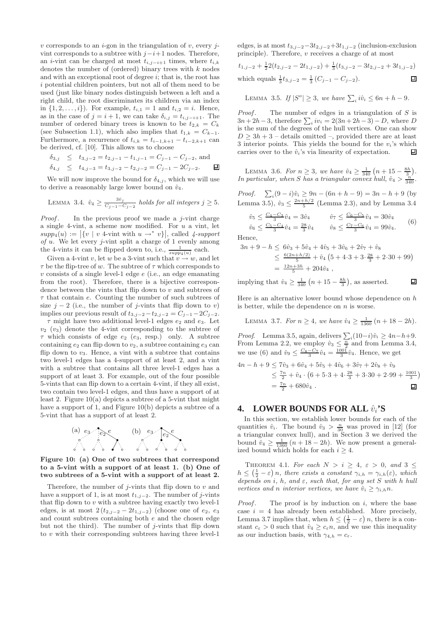$v$  corresponds to an  $i$ -gon in the triangulation of  $v$ , every  $j$ vint corresponds to a subtree with  $j-i+1$  nodes. Therefore, an *i*-vint can be charged at most  $t_{i,j-i+1}$  times, where  $t_{i,k}$ denotes the number of (ordered) binary trees with  $k$  nodes and with an exceptional root of degree  $i$ ; that is, the root has i potential children pointers, but not all of them need to be used (just like binary nodes distinguish between a left and a right child, the root discriminates its children via an index in  $\{1, 2, ..., i\}$ . For example,  $t_{i,1} = 1$  and  $t_{i,2} = i$ . Hence, as in the case of  $j = i + 1$ , we can take  $\delta_{i,j} = t_{i,j-i+1}$ . The number of ordered binary trees is known to be  $t_{2,k} = C_k$ (see Subsection 1.1), which also implies that  $t_{1,k} = C_{k-1}$ . Furthermore, a recurrence of  $t_{i,k} = t_{i-1,k+1} - t_{i-2,k+1}$  can be derived, cf. [10]. This allows us to choose

$$
\begin{array}{rcl}\n\delta_{3,j} & \leq & t_{3,j-2} = t_{2,j-1} - t_{1,j-1} = C_{j-1} - C_{j-2}, \text{ and} \\
\delta_{4,j} & \leq & t_{4,j-3} = t_{3,j-2} - t_{2,j-2} = C_{j-1} - 2C_{j-2}.\n\end{array}
$$

We will now improve the bound for  $\delta_{4,j}$ , which we will use to derive a reasonably large lower bound on  $\hat{v}_4$ .

LEMMA 3.4. 
$$
\hat{v}_4 \ge \frac{3\hat{v}_j}{C_{j-1} - C_{j-2}}
$$
 holds for all integers  $j \ge 5$ .

*Proof.* In the previous proof we made a  $j$ -vint charge a single 4-vint, a scheme now modified. For  $u$  a vint, let  $supp_4(u) := |\{v \mid v \text{ 4-vint with } u \to^* v\}|,$  called  $\{supp_4(v) : \text{4-vin } v \text{ with } v \text{ is prime, } v \text{ is prime.}\}$  $of u$ . We let every *j*-vint split a charge of 1 evenly among the 4-vints it can be flipped down to, i.e.,  $\frac{1}{supp_4(u)}$  each.

Given a 4-vint v, let w be a 3-vint such that  $v \to w$ , and let  $\tau$  be the flip-tree of w. The subtree of  $\tau$  which corresponds to  $v$  consists of a single level-1 edge  $e$  (i.e., an edge emanating from the root). Therefore, there is a bijective correspondence between the vints that flip down to  $v$  and subtrees of  $\tau$  that contain e. Counting the number of such subtrees of size  $j - 2$  (i.e., the number of j-vints that flip down to v) implies our previous result of  $t_{3,j-2}-t_{2,j-2} = C_{j-1}-2C_{j-2}$ .

 $\tau$  might have two additional level-1 edges  $e_2$  and  $e_3$ . Let  $v_2$  ( $v_3$ ) denote the 4-vint corresponding to the subtree of  $\tau$  which consists of edge  $e_2$  ( $e_3$ , resp.) only. A subtree containing  $e_2$  can flip down to  $v_2$ , a subtree containing  $e_3$  can flip down to  $v_3$ . Hence, a vint with a subtree that contains two level-1 edges has a 4-support of at least 2, and a vint with a subtree that contains all three level-1 edges has a support of at least 3. For example, out of the four possible 5-vints that can flip down to a certain 4-vint, if they all exist, two contain two level-1 edges, and thus have a support of at least 2. Figure 10(a) depicts a subtree of a 5-vint that might have a support of 1, and Figure 10(b) depicts a subtree of a 5-vint that has a support of at least 2.



Figure 10: (a) One of two subtrees that correspond to a 5-vint with a support of at least 1. (b) One of two subtrees of a 5-vint with a support of at least 2.

Therefore, the number of  $j$ -vints that flip down to  $v$  and have a support of 1, is at most  $t_{1,j-2}$ . The number of j-vints that flip down to  $v$  with a subtree having exactly two level-1 edges, is at most  $2(t_{2,j-2} - 2t_{1,j-2})$  (choose one of  $e_2, e_3$ ) and count subtrees containing both  $e$  and the chosen edge but not the third). The number of j-vints that flip down to  $v$  with their corresponding subtrees having three level-1

edges, is at most  $t_{3,j-2}-3t_{2,j-2}+3t_{1,j-2}$  (inclusion-exclusion principle). Therefore, v receives a charge of at most

$$
t_{1,j-2} + \frac{1}{2}2(t_{2,j-2} - 2t_{1,j-2}) + \frac{1}{3}(t_{3,j-2} - 3t_{2,j-2} + 3t_{1,j-2})
$$
  
which equals  $\frac{1}{3}t_{3,j-2} = \frac{1}{3}(C_{j-1} - C_{j-2}).$ 

LEMMA 3.5. If  $|S^o| \geq 3$ , we have  $\sum_i i\hat{v}_i \leq 6n + h - 9$ .

*Proof.* The number of edges in a triangulation of  $S$  is  $3n+2h-3$ , therefore  $\sum_i iv_i = 2(3n+2h-3)-D$ , where D is the sum of the degrees of the hull vertices. One can show  $D \geq 3h + 3$  – details omitted –, provided there are at least 3 interior points. This yields the bound for the  $v_i$ 's which carries over to the  $\hat{v}_i$ 's via linearity of expectation. 口

LEMMA 3.6. For  $n \ge 3$ , we have  $\hat{v}_4 \ge \frac{1}{340} (n + 15 - \frac{8h}{3})$ . In particular, when S has a triangular convex hull,  $\hat{v}_4 > \frac{\hat{n}'}{340}$ .

*Proof.*  $\sum_i (9 - i)\hat{v}_i \ge 9n - (6n + h - 9) = 3n - h + 9$  (by Lemma 3.5),  $\hat{v}_3 \le \frac{2n+h/2}{5}$  (Lemma 2.3), and by Lemma 3.4

$$
\hat{v}_5 \le \frac{C_4 - C_3}{3} \hat{v}_4 = 3\hat{v}_4 \qquad \qquad \hat{v}_7 \le \frac{C_6 - C_5}{3} \hat{v}_4 = 30\hat{v}_4
$$
\n
$$
\hat{v}_6 \le \frac{C_5 - C_4}{3} \hat{v}_4 = \frac{28}{3} \hat{v}_4 \qquad \qquad \hat{v}_8 \le \frac{C_7 - C_6}{3} \hat{v}_4 = 99\hat{v}_4. \tag{6}
$$

Hence,

$$
3n + 9 - h \leq 6\hat{v}_3 + 5\hat{v}_4 + 4\hat{v}_5 + 3\hat{v}_6 + 2\hat{v}_7 + \hat{v}_8
$$
  
\n
$$
\leq \frac{6(2n + h/2)}{5} + \hat{v}_4 (5 + 4 \cdot 3 + 3 \cdot \frac{28}{3} + 2 \cdot 30 + 99)
$$
  
\n
$$
= \frac{12n + 3h}{5} + 204\hat{v}_4 ,
$$

回 implying that  $\hat{v}_4 \ge \frac{1}{340} (n + 15 - \frac{8h}{3})$ , as asserted.

Here is an alternative lower bound whose dependence on  $h$ is better, while the dependence on  $n$  is worse.

LEMMA 3.7. For  $n \geq 4$ , we have  $\hat{v}_4 \geq \frac{1}{1360} (n + 18 - 2h)$ .

*Proof.* Lemma 3.5, again, delivers  $\sum_i (10-i)\hat{v}_i \geq 4n-h+9$ . From Lemma 2.2, we employ  $\hat{v}_3 \leq \frac{\overline{n}}{2}$  and from Lemma 3.4, we use (6) and  $\hat{v}_9 \leq \frac{C_8 - C_7}{3} \hat{v}_4 = \frac{1001}{3} \hat{v}_4$ . Hence, we get

$$
4n - h + 9 \le 7\hat{v}_3 + 6\hat{v}_4 + 5\hat{v}_5 + 4\hat{v}_6 + 3\hat{v}_7 + 2\hat{v}_8 + \hat{v}_9
$$
  
\n
$$
\le \frac{7n}{2} + \hat{v}_4 \cdot \left(6 + 5\cdot3 + 4\cdot\frac{28}{3} + 3\cdot30 + 2\cdot99 + \frac{1001}{3}\right)
$$
  
\n
$$
= \frac{7n}{2} + 680\hat{v}_4 .
$$

# **4. LOWER BOUNDS FOR ALL**  $\hat{v}_i$ **'S**

In this section, we establish lower bounds for each of the quantities  $\hat{v}_i$ . The bound  $\hat{v}_3 > \frac{n}{30}$  was proved in [12] (for a triangular convex hull), and in Section 3 we derived the bound  $\hat{v}_4 \geq \frac{1}{1360} (n + 18 - 2h)$ . We now present a generalized bound which holds for each  $i \geq 4$ .

THEOREM 4.1. For each  $N > i \geq 4$ ,  $\varepsilon > 0$ , and  $3 \leq$  $h \leq (\frac{1}{2} - \varepsilon) n$ , there exists a constant  $\gamma_{i,h} = \gamma_{i,h}(\varepsilon)$ , which depends on i, h, and  $\varepsilon$ , such that, for any set S with h hull vertices and n interior vertices, we have  $\hat{v}_i \geq \gamma_{i,h} n$ .

*Proof.* The proof is by induction on  $i$ , where the base case  $i = 4$  has already been established. More precisely, Lemma 3.7 implies that, when  $h \leq (\frac{1}{2} - \varepsilon) n$ , there is a constant  $c_{\varepsilon} > 0$  such that  $\hat{v}_4 \geq c_{\varepsilon} n$ , and we use this inequality as our induction basis, with  $\gamma_{4,h} = c_{\varepsilon}$ .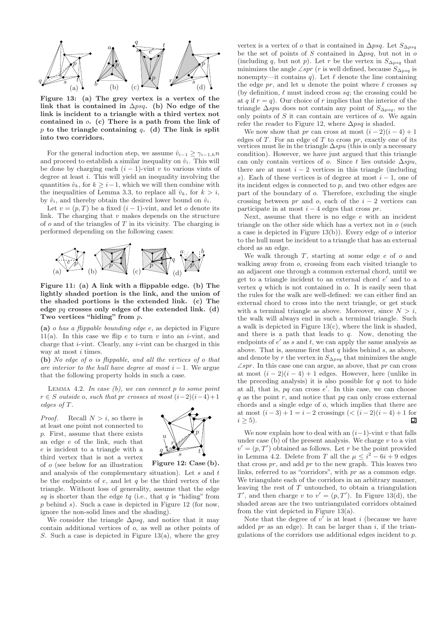

Figure 13: (a) The grey vertex is a vertex of the link that is contained in  $\Delta psq$ . (b) No edge of the link is incident to a triangle with a third vertex not contained in o. (c) There is a path from the link of p to the triangle containing  $q$ . (d) The link is split into two corridors.

For the general induction step, we assume  $\hat{v}_{i-1} \geq \gamma_{i-1,h} n$ and proceed to establish a similar inequality on  $\hat{v}_i$ . This will be done by charging each  $(i - 1)$ -vint v to various vints of degree at least i. This will yield an inequality involving the quantities  $\hat{v}_k$ , for  $k \geq i-1$ , which we will then combine with the inequalities of Lemma 3.3, to replace all  $\hat{v}_k$ , for  $k > i$ , by  $\hat{v}_i$ , and thereby obtain the desired lower bound on  $\hat{v}_i$ .

Let  $v = (p, T)$  be a fixed  $(i - 1)$ -vint, and let o denote its link. The charging that  $v$  makes depends on the structure of  $o$  and of the triangles of  $T$  in its vicinity. The charging is performed depending on the following cases:



Figure 11: (a) A link with a flippable edge. (b) The lightly shaded portion is the link, and the union of the shaded portions is the extended link. (c) The edge  $pq$  crosses only edges of the extended link. (d) Two vertices "hiding" from  $p$ .

(a) o has a flippable bounding edge e, as depicted in Figure 11(a). In this case we flip e to turn v into an  $i$ -vint, and charge that i-vint. Clearly, any i-vint can be charged in this way at most *i* times.

(b) No edge of o is flippable, and all the vertices of o that are interior to the hull have degree at most  $i - 1$ . We argue that the following property holds in such a case.

LEMMA 4.2. In case  $(b)$ , we can connect p to some point  $r \in S$  outside o, such that pr crosses at most  $(i-2)(i-4)+1$ edges of T.

*Proof.* Recall  $N > i$ , so there is at least one point not connected to p. First, assume that there exists an edge e of the link, such that e is incident to a triangle with a third vertex that is not a vertex of o (see below for an illustration



Figure 12: Case (b).

and analysis of the complementary situation). Let  $s$  and  $t$ be the endpoints of  $e$ , and let  $q$  be the third vertex of the triangle. Without loss of generality, assume that the edge sq is shorter than the edge  $tq$  (i.e., that q is "hiding" from  $p$  behind  $s$ ). Such a case is depicted in Figure 12 (for now, ignore the non-solid lines and the shading).

We consider the triangle  $\Delta psq$ , and notice that it may contain additional vertices of o, as well as other points of S. Such a case is depicted in Figure 13(a), where the grey

vertex is a vertex of o that is contained in  $\Delta psq$ . Let  $S_{\Delta psq}$ be the set of points of S contained in  $\Delta psq$ , but not in o (including q, but not p). Let r be the vertex in  $S_{\Delta psq}$  that minimizes the angle ∠spr (r is well defined, because  $S_{\Delta psq}$  is nonempty—it contains q). Let  $\ell$  denote the line containing the edge pr, and let u denote the point where  $\ell$  crosses sq (by definition,  $\ell$  must indeed cross sq; the crossing could be at q if  $r = q$ ). Our choice of r implies that the interior of the triangle  $\Delta spu$  does not contain any point of  $S_{\Delta psq}$ , so the only points of  $S$  it can contain are vertices of  $o$ . We again refer the reader to Figure 12, where  $\Delta psq$  is shaded.

We now show that pr can cross at most  $(i-2)(i-4)+1$ edges of  $T$ . For an edge of  $T$  to cross  $pr$ , exactly one of its vertices must lie in the triangle  $\Delta spu$  (this is only a necessary condition). However, we have just argued that this triangle can only contain vertices of o. Since t lies outside  $\Delta spu$ , there are at most  $i - 2$  vertices in this triangle (including s). Each of these vertices is of degree at most  $i - 1$ , one of its incident edges is connected to  $p$ , and two other edges are part of the boundary of o. Therefore, excluding the single crossing between pr and o, each of the  $i - 2$  vertices can participate in at most  $i - 4$  edges that cross pr.

Next, assume that there is no edge e with an incident triangle on the other side which has a vertex not in  $o$  (such a case is depicted in Figure  $13(b)$ ). Every edge of  $o$  interior to the hull must be incident to a triangle that has an external chord as an edge.

We walk through  $T$ , starting at some edge  $e$  of  $o$  and walking away from  $o$ , crossing from each visited triangle to an adjacent one through a common external chord, until we get to a triangle incident to an external chord  $e'$  and to a vertex  $q$  which is not contained in  $q$ . It is easily seen that the rules for the walk are well-defined: we can either find an external chord to cross into the next triangle, or get stuck with a terminal triangle as above. Moreover, since  $N > i$ , the walk will always end in such a terminal triangle. Such a walk is depicted in Figure 13(c), where the link is shaded, and there is a path that leads to  $q$ . Now, denoting the endpoints of  $e'$  as s and t, we can apply the same analysis as above. That is, assume first that  $q$  hides behind  $s$ , as above, and denote by r the vertex in  $S_{\Delta psq}$  that minimizes the angle  $\angle spr$ . In this case one can argue, as above, that pr can cross at most  $(i - 2)(i - 4) + 1$  edges. However, here (unlike in the preceding analysis) it is also possible for  $q$  not to hide at all, that is,  $pq$  can cross  $e'$ . In this case, we can choose  $q$  as the point  $r$ , and notice that  $pq$  can only cross external chords and a single edge of o, which implies that there are at most  $(i-3)+1=i-2$  crossings  $( $(i-2)(i-4)+1$  for$  $i > 5$ ). 口

We now explain how to deal with an  $(i-1)$ -vint v that falls under case  $(b)$  of the present analysis. We charge  $v$  to a vint  $v' = (p, T')$  obtained as follows. Let r be the point provided in Lemma 4.2. Delete from T all the  $\mu \leq i^2 - 6i + 9$  edges that cross  $pr$ , and add  $pr$  to the new graph. This leaves two links, referred to as "corridors", with pr as a common edge. We triangulate each of the corridors in an arbitrary manner, leaving the rest of  $T$  untouched, to obtain a triangulation T', and then charge v to  $v' = (p, T')$ . In Figure 13(d), the shaded areas are the two untriangulated corridors obtained from the vint depicted in Figure 13(a).

Note that the degree of  $v^{\dagger}$  is at least i (because we have added  $pr$  as an edge). It can be larger than  $i$ , if the triangulations of the corridors use additional edges incident to p.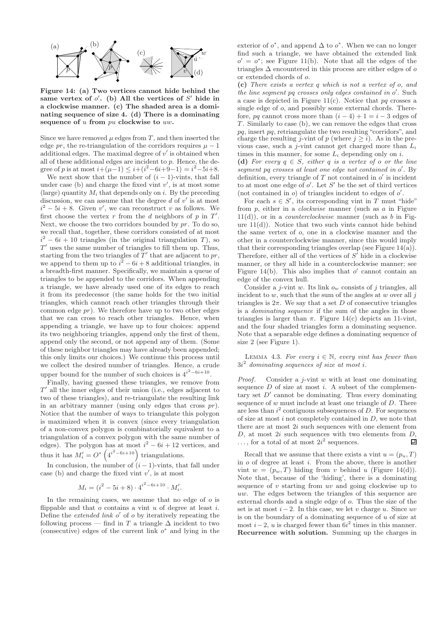

Figure 14: (a) Two vertices cannot hide behind the same vertex of  $o'$ . (b) All the vertices of  $S'$  hide in a clockwise manner. (c) The shaded area is a dominating sequence of size 4. (d) There is a dominating sequence of u from pu clockwise to uw.

Since we have removed  $\mu$  edges from  $T$ , and then inserted the edge pr, the re-triangulation of the corridors requires  $\mu - 1$ additional edges. The maximal degree of  $v'$  is obtained when all of these additional edges are incident to p. Hence, the degree of p is at most  $i+(\mu-1) \leq i+(i^2-6i+9-1) = i^2-5i+8$ .

We next show that the number of  $(i - 1)$ -vints, that fall under case (b) and charge the fixed vint  $v'$ , is at most some (large) quantity  $M_i$  that depends only on i. By the preceding discussion, we can assume that the degree  $d$  of  $v'$  is at most  $i^2 - 5i + 8$ . Given v', we can reconstruct v as follows. We first choose the vertex  $r$  from the  $d$  neighbors of  $p$  in  $T'$ . Next, we choose the two corridors bounded by pr. To do so, we recall that, together, these corridors consisted of at most  $i^2 - 6i + 10$  triangles (in the original triangulation T), so  $T'$  uses the same number of triangles to fill them up. Thus, starting from the two triangles of  $T'$  that are adjacent to pr, we append to them up to  $i^2 - 6i + 8$  additional triangles, in a breadth-first manner. Specifically, we maintain a queue of triangles to be appended to the corridors. When appending a triangle, we have already used one of its edges to reach it from its predecessor (the same holds for the two initial triangles, which cannot reach other triangles through their common edge  $pr$ ). We therefore have up to two other edges that we can cross to reach other triangles. Hence, when appending a triangle, we have up to four choices: append its two neighboring triangles, append only the first of them, append only the second, or not append any of them. (Some of these neighbor triangles may have already been appended; this only limits our choices.) We continue this process until we collect the desired number of triangles. Hence, a crude upper bound for the number of such choices is  $4^{i^2-6i+10}$ .

Finally, having guessed these triangles, we remove from T ′ all the inner edges of their union (i.e., edges adjacent to two of these triangles), and re-triangulate the resulting link in an arbitrary manner (using only edges that cross pr). Notice that the number of ways to triangulate this polygon is maximized when it is convex (since every triangulation of a non-convex polygon is combinatorially equivalent to a triangulation of a convex polygon with the same number of edges). The polygon has at most  $i^2 - 6i + 12$  vertices, and thus it has  $M'_i = O^* \left( 4^{i^2 - 6i + 10} \right)$  triangulations.

In conclusion, the number of  $(i - 1)$ -vints, that fall under case (b) and charge the fixed vint  $v'$ , is at most

$$
M_i = (i^2 - 5i + 8) \cdot 4^{i^2 - 6i + 10} \cdot M'_i.
$$

In the remaining cases, we assume that no edge of  $\sigma$  is flippable and that  $\rho$  contains a vint  $u$  of degree at least  $i$ . Define the *extended link*  $o'$  of  $o$  by iteratively repeating the following process — find in T a triangle  $\Delta$  incident to two (consecutive) edges of the current link  $o^*$  and lying in the

exterior of  $o^*$ , and append  $\Delta$  to  $o^*$ . When we can no longer find such a triangle, we have obtained the extended link  $o' = o^*$ ; see Figure 11(b). Note that all the edges of the triangles  $\Delta$  encountered in this process are either edges of  $o$ or extended chords of o.

(c) There exists a vertex q which is not a vertex of o, and the line segment pq crosses only edges contained in o'. Such a case is depicted in Figure 11(c). Notice that  $pq$  crosses a single edge of o, and possibly some external chords. Therefore, pq cannot cross more than  $(i-4)+1=i-3$  edges of T. Similarly to case (b), we can remove the edges that cross pq, insert pq, retriangulate the two resulting "corridors", and charge the resulting j-vint of p (where  $j \ge \tilde{i}$ ). As in the previous case, such a j-vint cannot get charged more than  $L_i$ times in this manner, for some  $L_i$  depending only on i. (d) For every  $q \in S$ , either q is a vertex of o or the line segment pq crosses at least one edge not contained in o'. By definition, every triangle of  $T$  not contained in  $o'$  is incident to at most one edge of  $o'$ . Let  $S'$  be the set of third vertices (not contained in  $o$ ) of triangles incident to edges of  $o'$ .

For each  $s \in S'$ , its corresponding vint in T must "hide" from  $p$ , either in a *clockwise* manner (such as  $a$  in Figure  $11(d)$ , or in a *counterclockwise* manner (such as b in Figure  $11(d)$ ). Notice that two such vints cannot hide behind the same vertex of o, one in a clockwise manner and the other in a counterclockwise manner, since this would imply that their corresponding triangles overlap (see Figure  $14(a)$ ). Therefore, either all of the vertices of  $S'$  hide in a clockwise manner, or they all hide in a counterclockwise manner; see Figure 14(b). This also implies that  $o'$  cannot contain an edge of the convex hull.

Consider a *j*-vint w. Its link  $o_w$  consists of *j* triangles, all incident to  $w$ , such that the sum of the angles at  $w$  over all  $j$ triangles is  $2\pi$ . We say that a set D of consecutive triangles is a dominating sequence if the sum of the angles in those triangles is larger than  $\pi$ . Figure 14(c) depicts an 11-vint, and the four shaded triangles form a dominating sequence. Note that a separable edge defines a dominating sequence of size 2 (see Figure 1).

LEMMA 4.3. For every  $i \in \mathbb{N}$ , every vint has fewer than  $3i<sup>2</sup>$  dominating sequences of size at most i.

*Proof.* Consider a *j*-vint  $w$  with at least one dominating sequence  $D$  of size at most  $i$ . A subset of the complementary set  $D'$  cannot be dominating. Thus every dominating sequence of  $w$  must include at least one triangle of  $D$ . There are less than  $i^2$  contiguous subsequences of D. For sequences of size at most  $i$  not completely contained in  $D$ , we note that there are at most  $2i$  such sequences with one element from  $D$ , at most  $2i$  such sequences with two elements from  $D$ ,  $\ldots$ , for a total of at most  $2i^2$  sequences. 口

Recall that we assume that there exists a vint  $u = (p_u, T)$ in  $o$  of degree at least  $i$ . From the above, there is another vint  $w = (p_w, T)$  hiding from v behind u (Figure 14(d)). Note that, because of the 'hiding', there is a dominating sequence of v starting from uv and going clockwise up to uw. The edges between the triangles of this sequence are external chords and a single edge of o. Thus the size of the set is at most  $i-2$ . In this case, we let v charge u. Since uv is on the boundary of a dominating sequence of  $u$  of size at most  $i-2$ , u is charged fewer than  $6i<sup>2</sup>$  times in this manner. Recurrence with solution. Summing up the charges in